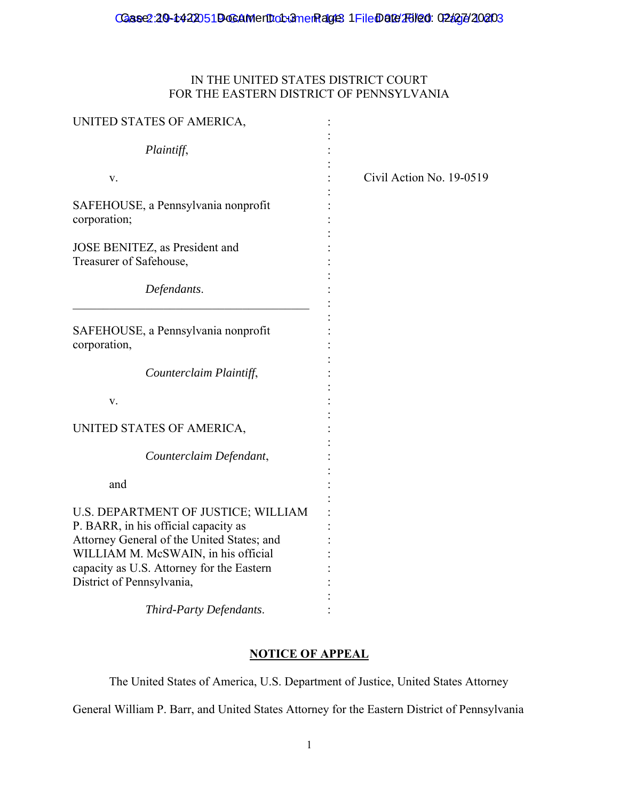## IN THE UNITED STATES DISTRICT COURT FOR THE EASTERN DISTRICT OF PENNSYLVANIA

| UNITED STATES OF AMERICA,                                                                                                                                                                                     |                          |
|---------------------------------------------------------------------------------------------------------------------------------------------------------------------------------------------------------------|--------------------------|
| Plaintiff,                                                                                                                                                                                                    |                          |
| v.                                                                                                                                                                                                            | Civil Action No. 19-0519 |
| SAFEHOUSE, a Pennsylvania nonprofit<br>corporation;                                                                                                                                                           |                          |
| JOSE BENITEZ, as President and<br>Treasurer of Safehouse,                                                                                                                                                     |                          |
| Defendants.                                                                                                                                                                                                   |                          |
| SAFEHOUSE, a Pennsylvania nonprofit<br>corporation,                                                                                                                                                           |                          |
| Counterclaim Plaintiff,                                                                                                                                                                                       |                          |
| V.                                                                                                                                                                                                            |                          |
| UNITED STATES OF AMERICA,                                                                                                                                                                                     |                          |
| Counterclaim Defendant,                                                                                                                                                                                       |                          |
| and                                                                                                                                                                                                           |                          |
| U.S. DEPARTMENT OF JUSTICE; WILLIAM<br>P. BARR, in his official capacity as<br>Attorney General of the United States; and<br>WILLIAM M. McSWAIN, in his official<br>capacity as U.S. Attorney for the Eastern |                          |
| District of Pennsylvania,                                                                                                                                                                                     |                          |
| Third-Party Defendants.                                                                                                                                                                                       |                          |

## **NOTICE OF APPEAL**

The United States of America, U.S. Department of Justice, United States Attorney

General William P. Barr, and United States Attorney for the Eastern District of Pennsylvania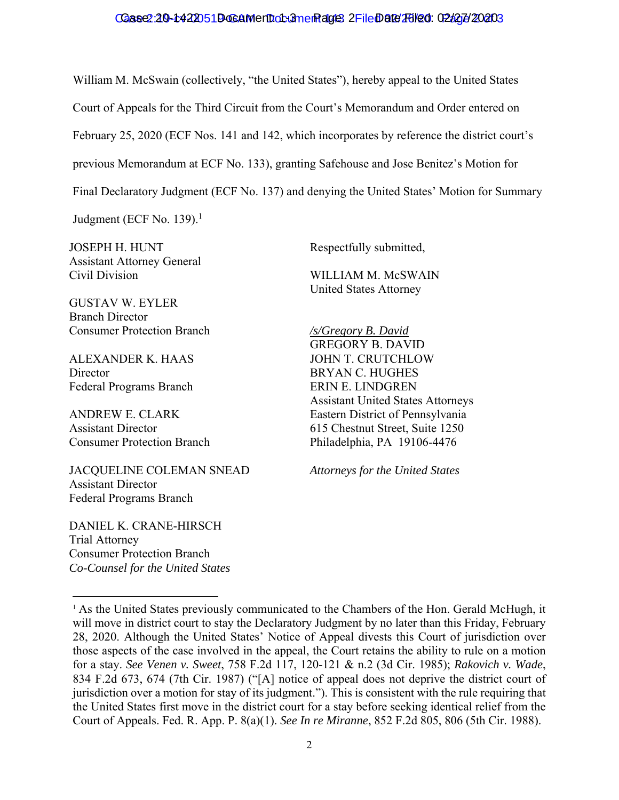## Case2:20-t422051D-GAMentiot unem age 2 FileDate/261/20: 02/27/20203

William M. McSwain (collectively, "the United States"), hereby appeal to the United States Court of Appeals for the Third Circuit from the Court's Memorandum and Order entered on February 25, 2020 (ECF Nos. 141 and 142, which incorporates by reference the district court's previous Memorandum at ECF No. 133), granting Safehouse and Jose Benitez's Motion for Final Declaratory Judgment (ECF No. 137) and denying the United States' Motion for Summary

Judgment (ECF No. 139). $<sup>1</sup>$ </sup>

JOSEPH H. HUNT Assistant Attorney General Civil Division

GUSTAV W. EYLER Branch Director Consumer Protection Branch

ALEXANDER K. HAAS Director Federal Programs Branch

ANDREW E. CLARK Assistant Director Consumer Protection Branch

JACQUELINE COLEMAN SNEAD Assistant Director Federal Programs Branch

DANIEL K. CRANE-HIRSCH Trial Attorney Consumer Protection Branch *Co-Counsel for the United States* 

l

Respectfully submitted,

WILLIAM M. McSWAIN United States Attorney

*/s/Gregory B. David*  GREGORY B. DAVID JOHN T. CRUTCHLOW BRYAN C. HUGHES ERIN E. LINDGREN Assistant United States Attorneys Eastern District of Pennsylvania 615 Chestnut Street, Suite 1250 Philadelphia, PA 19106-4476

*Attorneys for the United States* 

<sup>&</sup>lt;sup>1</sup> As the United States previously communicated to the Chambers of the Hon. Gerald McHugh, it will move in district court to stay the Declaratory Judgment by no later than this Friday, February 28, 2020. Although the United States' Notice of Appeal divests this Court of jurisdiction over those aspects of the case involved in the appeal, the Court retains the ability to rule on a motion for a stay. *See Venen v. Sweet*, 758 F.2d 117, 120-121 & n.2 (3d Cir. 1985); *Rakovich v. Wade*, 834 F.2d 673, 674 (7th Cir. 1987) ("[A] notice of appeal does not deprive the district court of jurisdiction over a motion for stay of its judgment."). This is consistent with the rule requiring that the United States first move in the district court for a stay before seeking identical relief from the Court of Appeals. Fed. R. App. P. 8(a)(1). *See In re Miranne*, 852 F.2d 805, 806 (5th Cir. 1988).